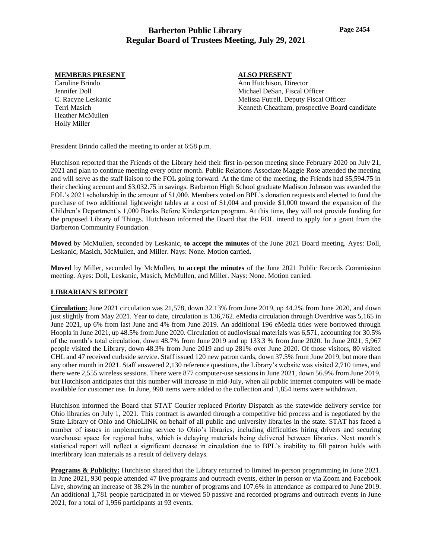# **Barberton Public Library Regular Board of Trustees Meeting, July 29, 2021**

## **MEMBERS PRESENT**

Caroline Brindo Jennifer Doll C. Racyne Leskanic Terri Masich Heather McMullen Holly Miller

## **ALSO PRESENT**

Ann Hutchison, Director Michael DeSan, Fiscal Officer Melissa Futrell, Deputy Fiscal Officer Kenneth Cheatham, prospective Board candidate

President Brindo called the meeting to order at 6:58 p.m.

Hutchison reported that the Friends of the Library held their first in-person meeting since February 2020 on July 21, 2021 and plan to continue meeting every other month. Public Relations Associate Maggie Rose attended the meeting and will serve as the staff liaison to the FOL going forward. At the time of the meeting, the Friends had \$5,594.75 in their checking account and \$3,032.75 in savings. Barberton High School graduate Madison Johnson was awarded the FOL's 2021 scholarship in the amount of \$1,000. Members voted on BPL's donation requests and elected to fund the purchase of two additional lightweight tables at a cost of \$1,004 and provide \$1,000 toward the expansion of the Children's Department's 1,000 Books Before Kindergarten program. At this time, they will not provide funding for the proposed Library of Things. Hutchison informed the Board that the FOL intend to apply for a grant from the Barberton Community Foundation.

**Moved** by McMullen, seconded by Leskanic, **to accept the minutes** of the June 2021 Board meeting. Ayes: Doll, Leskanic, Masich, McMullen, and Miller. Nays: None. Motion carried.

**Moved** by Miller, seconded by McMullen, **to accept the minutes** of the June 2021 Public Records Commission meeting. Ayes: Doll, Leskanic, Masich, McMullen, and Miller. Nays: None. Motion carried.

#### **LIBRARIAN'S REPORT**

**Circulation:** June 2021 circulation was 21,578, down 32.13% from June 2019, up 44.2% from June 2020, and down just slightly from May 2021. Year to date, circulation is 136,762. eMedia circulation through Overdrive was 5,165 in June 2021, up 6% from last June and 4% from June 2019. An additional 196 eMedia titles were borrowed through Hoopla in June 2021, up 48.5% from June 2020. Circulation of audiovisual materials was 6,571, accounting for 30.5% of the month's total circulation, down 48.7% from June 2019 and up 133.3 % from June 2020. In June 2021, 5,967 people visited the Library, down 48.3% from June 2019 and up 281% over June 2020. Of those visitors, 80 visited CHL and 47 received curbside service. Staff issued 120 new patron cards, down 37.5% from June 2019, but more than any other month in 2021. Staff answered 2,130 reference questions, the Library's website was visited 2,710 times, and there were 2,555 wireless sessions. There were 877 computer-use sessions in June 2021, down 56.9% from June 2019, but Hutchison anticipates that this number will increase in mid-July, when all public internet computers will be made available for customer use. In June, 990 items were added to the collection and 1,854 items were withdrawn.

Hutchison informed the Board that STAT Courier replaced Priority Dispatch as the statewide delivery service for Ohio libraries on July 1, 2021. This contract is awarded through a competitive bid process and is negotiated by the State Library of Ohio and OhioLINK on behalf of all public and university libraries in the state. STAT has faced a number of issues in implementing service to Ohio's libraries, including difficulties hiring drivers and securing warehouse space for regional hubs, which is delaying materials being delivered between libraries. Next month's statistical report will reflect a significant decrease in circulation due to BPL's inability to fill patron holds with interlibrary loan materials as a result of delivery delays.

**Programs & Publicity:** Hutchison shared that the Library returned to limited in-person programming in June 2021. In June 2021, 930 people attended 47 live programs and outreach events, either in person or via Zoom and Facebook Live, showing an increase of 38.2% in the number of programs and 107.6% in attendance as compared to June 2019. An additional 1,781 people participated in or viewed 50 passive and recorded programs and outreach events in June 2021, for a total of 1,956 participants at 93 events.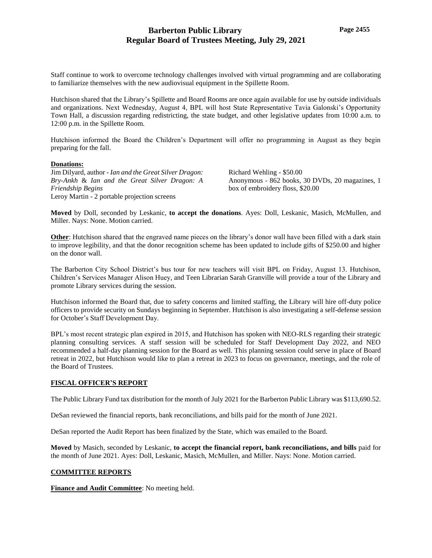## **Barberton Public Library Regular Board of Trustees Meeting, July 29, 2021**

Staff continue to work to overcome technology challenges involved with virtual programming and are collaborating to familiarize themselves with the new audiovisual equipment in the Spillette Room.

Hutchison shared that the Library's Spillette and Board Rooms are once again available for use by outside individuals and organizations. Next Wednesday, August 4, BPL will host State Representative Tavia Galonski's Opportunity Town Hall, a discussion regarding redistricting, the state budget, and other legislative updates from 10:00 a.m. to 12:00 p.m. in the Spillette Room.

Hutchison informed the Board the Children's Department will offer no programming in August as they begin preparing for the fall.

### **Donations:**

Jim Dilyard, author - *Ian and the Great Silver Dragon: Bry-Ankh* & *Ian and the Great Silver Dragon: A Friendship Begins* Leroy Martin - 2 portable projection screens

Richard Wehling - \$50.00 Anonymous - 862 books, 30 DVDs, 20 magazines, 1 box of embroidery floss, \$20.00

**Moved** by Doll, seconded by Leskanic, **to accept the donations**. Ayes: Doll, Leskanic, Masich, McMullen, and Miller. Nays: None. Motion carried.

**Other:** Hutchison shared that the engraved name pieces on the library's donor wall have been filled with a dark stain to improve legibility, and that the donor recognition scheme has been updated to include gifts of \$250.00 and higher on the donor wall.

The Barberton City School District's bus tour for new teachers will visit BPL on Friday, August 13. Hutchison, Children's Services Manager Alison Huey, and Teen Librarian Sarah Granville will provide a tour of the Library and promote Library services during the session.

Hutchison informed the Board that, due to safety concerns and limited staffing, the Library will hire off-duty police officers to provide security on Sundays beginning in September. Hutchison is also investigating a self-defense session for October's Staff Development Day.

BPL's most recent strategic plan expired in 2015, and Hutchison has spoken with NEO-RLS regarding their strategic planning consulting services. A staff session will be scheduled for Staff Development Day 2022, and NEO recommended a half-day planning session for the Board as well. This planning session could serve in place of Board retreat in 2022, but Hutchison would like to plan a retreat in 2023 to focus on governance, meetings, and the role of the Board of Trustees.

#### **FISCAL OFFICER'S REPORT**

The Public Library Fund tax distribution for the month of July 2021 for the Barberton Public Library was \$113,690.52.

DeSan reviewed the financial reports, bank reconciliations, and bills paid for the month of June 2021.

DeSan reported the Audit Report has been finalized by the State, which was emailed to the Board.

**Moved** by Masich, seconded by Leskanic, **to accept the financial report, bank reconciliations, and bills** paid for the month of June 2021. Ayes: Doll, Leskanic, Masich, McMullen, and Miller. Nays: None. Motion carried.

#### **COMMITTEE REPORTS**

**Finance and Audit Committee**: No meeting held.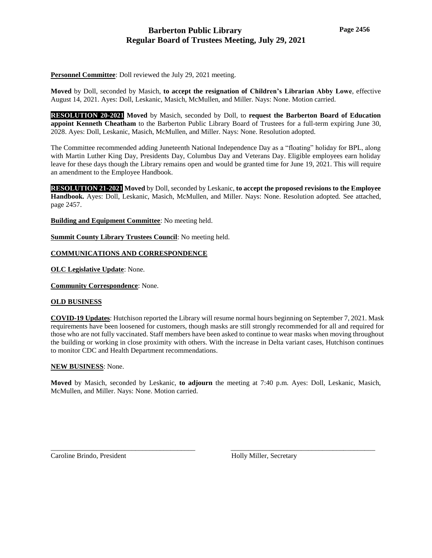# **Barberton Public Library Regular Board of Trustees Meeting, July 29, 2021**

**Personnel Committee**: Doll reviewed the July 29, 2021 meeting.

**Moved** by Doll, seconded by Masich, **to accept the resignation of Children's Librarian Abby Lowe**, effective August 14, 2021. Ayes: Doll, Leskanic, Masich, McMullen, and Miller. Nays: None. Motion carried.

**RESOLUTION 20-2021 Moved** by Masich, seconded by Doll, to **request the Barberton Board of Education appoint Kenneth Cheatham** to the Barberton Public Library Board of Trustees for a full-term expiring June 30, 2028. Ayes: Doll, Leskanic, Masich, McMullen, and Miller. Nays: None. Resolution adopted.

The Committee recommended adding Juneteenth National Independence Day as a "floating" holiday for BPL, along with Martin Luther King Day, Presidents Day, Columbus Day and Veterans Day. Eligible employees earn holiday leave for these days though the Library remains open and would be granted time for June 19, 2021. This will require an amendment to the Employee Handbook.

**RESOLUTION 21-2021 Moved** by Doll, seconded by Leskanic, **to accept the proposed revisions to the Employee Handbook.** Ayes: Doll, Leskanic, Masich, McMullen, and Miller. Nays: None. Resolution adopted. See attached, page 2457.

**Building and Equipment Committee**: No meeting held.

**Summit County Library Trustees Council**: No meeting held.

### **COMMUNICATIONS AND CORRESPONDENCE**

**OLC Legislative Update**: None.

**Community Correspondence**: None.

## **OLD BUSINESS**

**COVID-19 Updates**: Hutchison reported the Library will resume normal hours beginning on September 7, 2021. Mask requirements have been loosened for customers, though masks are still strongly recommended for all and required for those who are not fully vaccinated. Staff members have been asked to continue to wear masks when moving throughout the building or working in close proximity with others. With the increase in Delta variant cases, Hutchison continues to monitor CDC and Health Department recommendations.

#### **NEW BUSINESS**: None.

**Moved** by Masich, seconded by Leskanic, **to adjourn** the meeting at 7:40 p.m. Ayes: Doll, Leskanic, Masich, McMullen, and Miller. Nays: None. Motion carried.

\_\_\_\_\_\_\_\_\_\_\_\_\_\_\_\_\_\_\_\_\_\_\_\_\_\_\_\_\_\_\_\_\_\_\_\_\_\_\_\_\_ \_\_\_\_\_\_\_\_\_\_\_\_\_\_\_\_\_\_\_\_\_\_\_\_\_\_\_\_\_\_\_\_\_\_\_\_\_\_\_\_\_

Caroline Brindo, President **Holly Miller, Secretary**